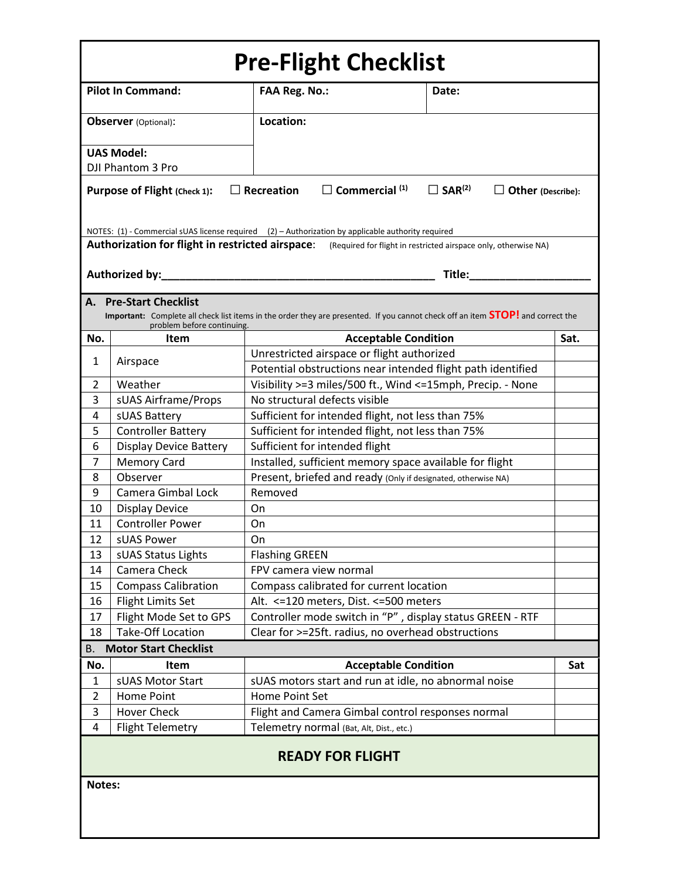| <b>Pre-Flight Checklist</b>                                                                                                                            |                                                     |                                                                                                                                        |                                                                 |      |  |  |  |
|--------------------------------------------------------------------------------------------------------------------------------------------------------|-----------------------------------------------------|----------------------------------------------------------------------------------------------------------------------------------------|-----------------------------------------------------------------|------|--|--|--|
| <b>Pilot In Command:</b>                                                                                                                               |                                                     | <b>FAA Reg. No.:</b>                                                                                                                   | Date:                                                           |      |  |  |  |
| <b>Observer</b> (Optional):                                                                                                                            |                                                     | Location:                                                                                                                              |                                                                 |      |  |  |  |
|                                                                                                                                                        | <b>UAS Model:</b>                                   |                                                                                                                                        |                                                                 |      |  |  |  |
|                                                                                                                                                        | DJI Phantom 3 Pro                                   |                                                                                                                                        |                                                                 |      |  |  |  |
|                                                                                                                                                        |                                                     |                                                                                                                                        |                                                                 |      |  |  |  |
| $\square$ Commercial $^{(1)}$<br>$\Box$ SAR <sup>(2)</sup><br>$\Box$ Recreation<br>Purpose of Flight (Check 1):<br>$\Box$ Other (Describe):            |                                                     |                                                                                                                                        |                                                                 |      |  |  |  |
| NOTES: (1) - Commercial sUAS license required (2) - Authorization by applicable authority required<br>Authorization for flight in restricted airspace: |                                                     |                                                                                                                                        |                                                                 |      |  |  |  |
|                                                                                                                                                        |                                                     |                                                                                                                                        | (Required for flight in restricted airspace only, otherwise NA) |      |  |  |  |
|                                                                                                                                                        | Authorized by:                                      |                                                                                                                                        | Title:                                                          |      |  |  |  |
| А.                                                                                                                                                     | <b>Pre-Start Checklist</b>                          |                                                                                                                                        |                                                                 |      |  |  |  |
|                                                                                                                                                        |                                                     | Important: Complete all check list items in the order they are presented. If you cannot check off an item <b>STOP!</b> and correct the |                                                                 |      |  |  |  |
|                                                                                                                                                        | problem before continuing.                          |                                                                                                                                        |                                                                 |      |  |  |  |
| No.                                                                                                                                                    | Item                                                | <b>Acceptable Condition</b>                                                                                                            |                                                                 | Sat. |  |  |  |
| 1                                                                                                                                                      | Airspace                                            | Unrestricted airspace or flight authorized                                                                                             |                                                                 |      |  |  |  |
|                                                                                                                                                        |                                                     | Potential obstructions near intended flight path identified                                                                            |                                                                 |      |  |  |  |
| 2                                                                                                                                                      | Weather                                             | Visibility >=3 miles/500 ft., Wind <=15mph, Precip. - None                                                                             |                                                                 |      |  |  |  |
| 3                                                                                                                                                      | sUAS Airframe/Props                                 | No structural defects visible                                                                                                          |                                                                 |      |  |  |  |
| 4                                                                                                                                                      | sUAS Battery                                        | Sufficient for intended flight, not less than 75%                                                                                      |                                                                 |      |  |  |  |
| 5<br>6                                                                                                                                                 | <b>Controller Battery</b>                           | Sufficient for intended flight, not less than 75%                                                                                      |                                                                 |      |  |  |  |
| 7                                                                                                                                                      | <b>Display Device Battery</b><br><b>Memory Card</b> | Sufficient for intended flight                                                                                                         |                                                                 |      |  |  |  |
| 8                                                                                                                                                      | Observer                                            | Installed, sufficient memory space available for flight<br>Present, briefed and ready (Only if designated, otherwise NA)               |                                                                 |      |  |  |  |
| 9                                                                                                                                                      | Camera Gimbal Lock                                  | Removed                                                                                                                                |                                                                 |      |  |  |  |
| 10                                                                                                                                                     | <b>Display Device</b>                               | On                                                                                                                                     |                                                                 |      |  |  |  |
| 11                                                                                                                                                     | <b>Controller Power</b>                             | On                                                                                                                                     |                                                                 |      |  |  |  |
| 12                                                                                                                                                     | sUAS Power                                          | On                                                                                                                                     |                                                                 |      |  |  |  |
| 13                                                                                                                                                     | sUAS Status Lights                                  | <b>Flashing GREEN</b>                                                                                                                  |                                                                 |      |  |  |  |
| 14                                                                                                                                                     | Camera Check                                        | FPV camera view normal                                                                                                                 |                                                                 |      |  |  |  |
| 15                                                                                                                                                     | <b>Compass Calibration</b>                          | Compass calibrated for current location                                                                                                |                                                                 |      |  |  |  |
| 16                                                                                                                                                     | <b>Flight Limits Set</b>                            | Alt. <= 120 meters, Dist. <= 500 meters                                                                                                |                                                                 |      |  |  |  |
| 17                                                                                                                                                     | Flight Mode Set to GPS                              | Controller mode switch in "P", display status GREEN - RTF                                                                              |                                                                 |      |  |  |  |
| 18                                                                                                                                                     | <b>Take-Off Location</b>                            | Clear for >=25ft. radius, no overhead obstructions                                                                                     |                                                                 |      |  |  |  |
| В.                                                                                                                                                     | <b>Motor Start Checklist</b>                        |                                                                                                                                        |                                                                 |      |  |  |  |
| No.                                                                                                                                                    | Item                                                | <b>Acceptable Condition</b>                                                                                                            |                                                                 | Sat  |  |  |  |
| $\mathbf{1}$                                                                                                                                           | sUAS Motor Start                                    | sUAS motors start and run at idle, no abnormal noise                                                                                   |                                                                 |      |  |  |  |
| $\overline{2}$                                                                                                                                         | Home Point                                          | Home Point Set                                                                                                                         |                                                                 |      |  |  |  |
| 3                                                                                                                                                      | <b>Hover Check</b>                                  | Flight and Camera Gimbal control responses normal                                                                                      |                                                                 |      |  |  |  |
| 4                                                                                                                                                      | <b>Flight Telemetry</b>                             | Telemetry normal (Bat, Alt, Dist., etc.)                                                                                               |                                                                 |      |  |  |  |
| <b>READY FOR FLIGHT</b>                                                                                                                                |                                                     |                                                                                                                                        |                                                                 |      |  |  |  |
| Notes:                                                                                                                                                 |                                                     |                                                                                                                                        |                                                                 |      |  |  |  |
|                                                                                                                                                        |                                                     |                                                                                                                                        |                                                                 |      |  |  |  |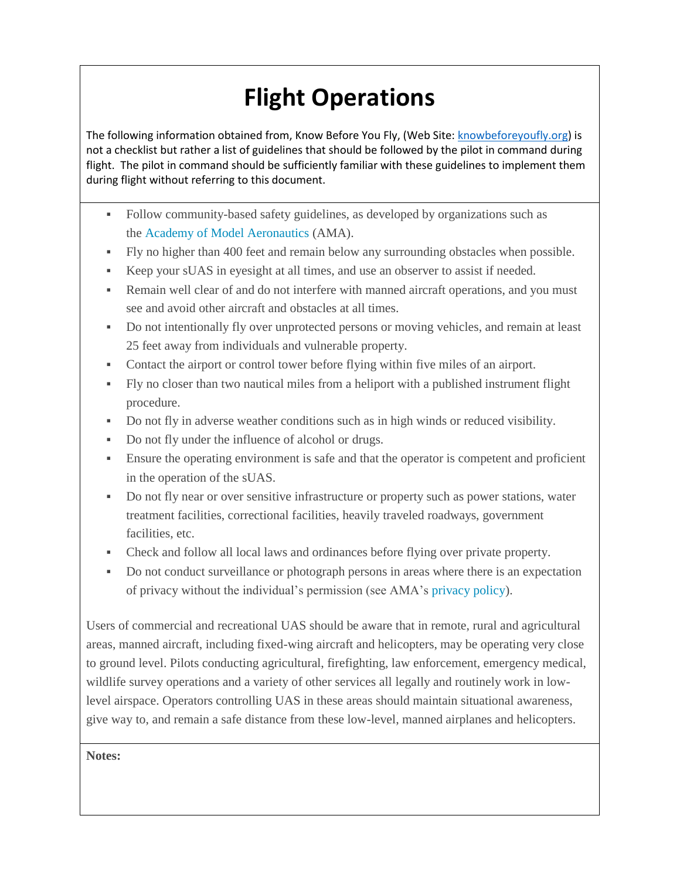## **Flight Operations**

The following information obtained from, Know Before You Fly, (Web Site: [knowbeforeyoufly.org\)](http://www.knowbeforeyoufly.org/) is not a checklist but rather a list of guidelines that should be followed by the pilot in command during flight. The pilot in command should be sufficiently familiar with these guidelines to implement them during flight without referring to this document.

- Follow community-based safety guidelines, as developed by organizations such as the [Academy of Model Aeronautics](http://www.modelaircraft.org/) (AMA).
- Fly no higher than 400 feet and remain below any surrounding obstacles when possible.
- Keep your sUAS in eyesight at all times, and use an observer to assist if needed.
- Remain well clear of and do not interfere with manned aircraft operations, and you must see and avoid other aircraft and obstacles at all times.
- Do not intentionally fly over unprotected persons or moving vehicles, and remain at least 25 feet away from individuals and vulnerable property.
- Contact the airport or control tower before flying within five miles of an airport.
- Fly no closer than two nautical miles from a heliport with a published instrument flight procedure.
- Do not fly in adverse weather conditions such as in high winds or reduced visibility.
- Do not fly under the influence of alcohol or drugs.
- Ensure the operating environment is safe and that the operator is competent and proficient in the operation of the sUAS.
- Do not fly near or over sensitive infrastructure or property such as power stations, water treatment facilities, correctional facilities, heavily traveled roadways, government facilities, etc.
- Check and follow all local laws and ordinances before flying over private property.
- Do not conduct surveillance or photograph persons in areas where there is an expectation of privacy without the individual's permission (see AMA's [privacy policy\)](http://suas.modelaircraft.org/ama/images/sUAS_Safety_Program_web.pdf).

Users of commercial and recreational UAS should be aware that in remote, rural and agricultural areas, manned aircraft, including fixed-wing aircraft and helicopters, may be operating very close to ground level. Pilots conducting agricultural, firefighting, law enforcement, emergency medical, wildlife survey operations and a variety of other services all legally and routinely work in lowlevel airspace. Operators controlling UAS in these areas should maintain situational awareness, give way to, and remain a safe distance from these low-level, manned airplanes and helicopters.

**Notes:**